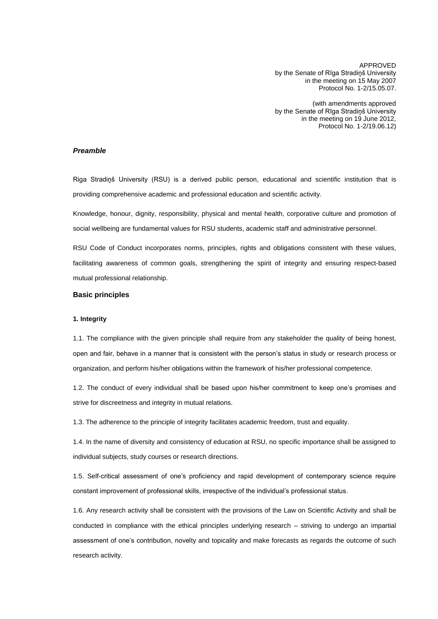APPROVED by the Senate of Rīga Stradiņš University in the meeting on 15 May 2007 Protocol No. 1-2/15.05.07.

(with amendments approved by the Senate of Rīga Stradiņš University in the meeting on 19 June 2012, Protocol No. 1-2/19.06.12)

## *Preamble*

Riga Stradiņš University (RSU) is a derived public person, educational and scientific institution that is providing comprehensive academic and professional education and scientific activity.

Knowledge, honour, dignity, responsibility, physical and mental health, corporative culture and promotion of social wellbeing are fundamental values for RSU students, academic staff and administrative personnel.

RSU Code of Conduct incorporates norms, principles, rights and obligations consistent with these values, facilitating awareness of common goals, strengthening the spirit of integrity and ensuring respect-based mutual professional relationship.

## **Basic principles**

#### **1. Integrity**

1.1. The compliance with the given principle shall require from any stakeholder the quality of being honest, open and fair, behave in a manner that is consistent with the person's status in study or research process or organization, and perform his/her obligations within the framework of his/her professional competence.

1.2. The conduct of every individual shall be based upon his/her commitment to keep one's promises and strive for discreetness and integrity in mutual relations.

1.3. The adherence to the principle of integrity facilitates academic freedom, trust and equality.

1.4. In the name of diversity and consistency of education at RSU, no specific importance shall be assigned to individual subjects, study courses or research directions.

1.5. Self-critical assessment of one's proficiency and rapid development of contemporary science require constant improvement of professional skills, irrespective of the individual's professional status.

1.6. Any research activity shall be consistent with the provisions of the Law on Scientific Activity and shall be conducted in compliance with the ethical principles underlying research – striving to undergo an impartial assessment of one's contribution, novelty and topicality and make forecasts as regards the outcome of such research activity.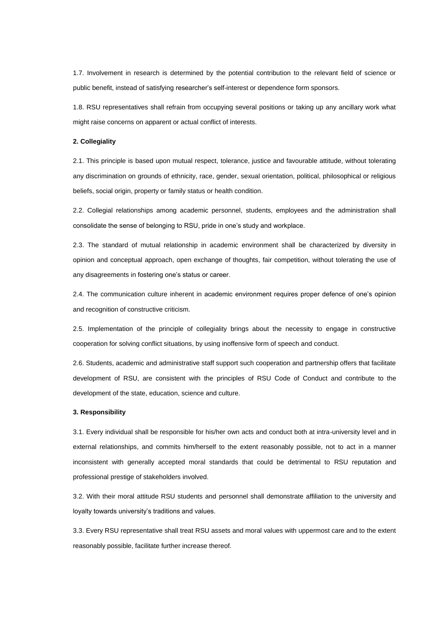1.7. Involvement in research is determined by the potential contribution to the relevant field of science or public benefit, instead of satisfying researcher's self-interest or dependence form sponsors.

1.8. RSU representatives shall refrain from occupying several positions or taking up any ancillary work what might raise concerns on apparent or actual conflict of interests.

# **2. Collegiality**

2.1. This principle is based upon mutual respect, tolerance, justice and favourable attitude, without tolerating any discrimination on grounds of ethnicity, race, gender, sexual orientation, political, philosophical or religious beliefs, social origin, property or family status or health condition.

2.2. Collegial relationships among academic personnel, students, employees and the administration shall consolidate the sense of belonging to RSU, pride in one's study and workplace.

2.3. The standard of mutual relationship in academic environment shall be characterized by diversity in opinion and conceptual approach, open exchange of thoughts, fair competition, without tolerating the use of any disagreements in fostering one's status or career.

2.4. The communication culture inherent in academic environment requires proper defence of one's opinion and recognition of constructive criticism.

2.5. Implementation of the principle of collegiality brings about the necessity to engage in constructive cooperation for solving conflict situations, by using inoffensive form of speech and conduct.

2.6. Students, academic and administrative staff support such cooperation and partnership offers that facilitate development of RSU, are consistent with the principles of RSU Code of Conduct and contribute to the development of the state, education, science and culture.

#### **3. Responsibility**

3.1. Every individual shall be responsible for his/her own acts and conduct both at intra-university level and in external relationships, and commits him/herself to the extent reasonably possible, not to act in a manner inconsistent with generally accepted moral standards that could be detrimental to RSU reputation and professional prestige of stakeholders involved.

3.2. With their moral attitude RSU students and personnel shall demonstrate affiliation to the university and loyalty towards university's traditions and values.

3.3. Every RSU representative shall treat RSU assets and moral values with uppermost care and to the extent reasonably possible, facilitate further increase thereof.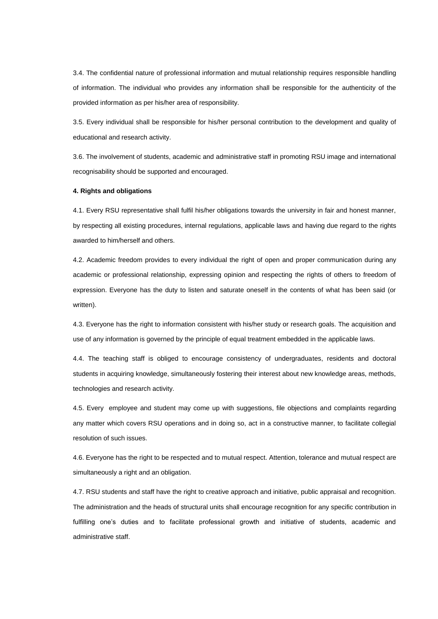3.4. The confidential nature of professional information and mutual relationship requires responsible handling of information. The individual who provides any information shall be responsible for the authenticity of the provided information as per his/her area of responsibility.

3.5. Every individual shall be responsible for his/her personal contribution to the development and quality of educational and research activity.

3.6. The involvement of students, academic and administrative staff in promoting RSU image and international recognisability should be supported and encouraged.

#### **4. Rights and obligations**

4.1. Every RSU representative shall fulfil his/her obligations towards the university in fair and honest manner, by respecting all existing procedures, internal regulations, applicable laws and having due regard to the rights awarded to him/herself and others.

4.2. Academic freedom provides to every individual the right of open and proper communication during any academic or professional relationship, expressing opinion and respecting the rights of others to freedom of expression. Everyone has the duty to listen and saturate oneself in the contents of what has been said (or written).

4.3. Everyone has the right to information consistent with his/her study or research goals. The acquisition and use of any information is governed by the principle of equal treatment embedded in the applicable laws.

4.4. The teaching staff is obliged to encourage consistency of undergraduates, residents and doctoral students in acquiring knowledge, simultaneously fostering their interest about new knowledge areas, methods, technologies and research activity.

4.5. Every employee and student may come up with suggestions, file objections and complaints regarding any matter which covers RSU operations and in doing so, act in a constructive manner, to facilitate collegial resolution of such issues.

4.6. Everyone has the right to be respected and to mutual respect. Attention, tolerance and mutual respect are simultaneously a right and an obligation.

4.7. RSU students and staff have the right to creative approach and initiative, public appraisal and recognition. The administration and the heads of structural units shall encourage recognition for any specific contribution in fulfilling one's duties and to facilitate professional growth and initiative of students, academic and administrative staff.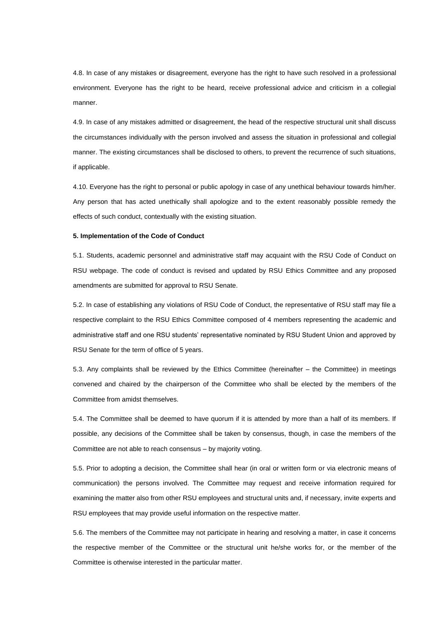4.8. In case of any mistakes or disagreement, everyone has the right to have such resolved in a professional environment. Everyone has the right to be heard, receive professional advice and criticism in a collegial manner.

4.9. In case of any mistakes admitted or disagreement, the head of the respective structural unit shall discuss the circumstances individually with the person involved and assess the situation in professional and collegial manner. The existing circumstances shall be disclosed to others, to prevent the recurrence of such situations, if applicable.

4.10. Everyone has the right to personal or public apology in case of any unethical behaviour towards him/her. Any person that has acted unethically shall apologize and to the extent reasonably possible remedy the effects of such conduct, contextually with the existing situation.

### **5. Implementation of the Code of Conduct**

5.1. Students, academic personnel and administrative staff may acquaint with the RSU Code of Conduct on RSU webpage. The code of conduct is revised and updated by RSU Ethics Committee and any proposed amendments are submitted for approval to RSU Senate.

5.2. In case of establishing any violations of RSU Code of Conduct, the representative of RSU staff may file a respective complaint to the RSU Ethics Committee composed of 4 members representing the academic and administrative staff and one RSU students' representative nominated by RSU Student Union and approved by RSU Senate for the term of office of 5 years.

5.3. Any complaints shall be reviewed by the Ethics Committee (hereinafter – the Committee) in meetings convened and chaired by the chairperson of the Committee who shall be elected by the members of the Committee from amidst themselves.

5.4. The Committee shall be deemed to have quorum if it is attended by more than a half of its members. If possible, any decisions of the Committee shall be taken by consensus, though, in case the members of the Committee are not able to reach consensus – by majority voting.

5.5. Prior to adopting a decision, the Committee shall hear (in oral or written form or via electronic means of communication) the persons involved. The Committee may request and receive information required for examining the matter also from other RSU employees and structural units and, if necessary, invite experts and RSU employees that may provide useful information on the respective matter.

5.6. The members of the Committee may not participate in hearing and resolving a matter, in case it concerns the respective member of the Committee or the structural unit he/she works for, or the member of the Committee is otherwise interested in the particular matter.